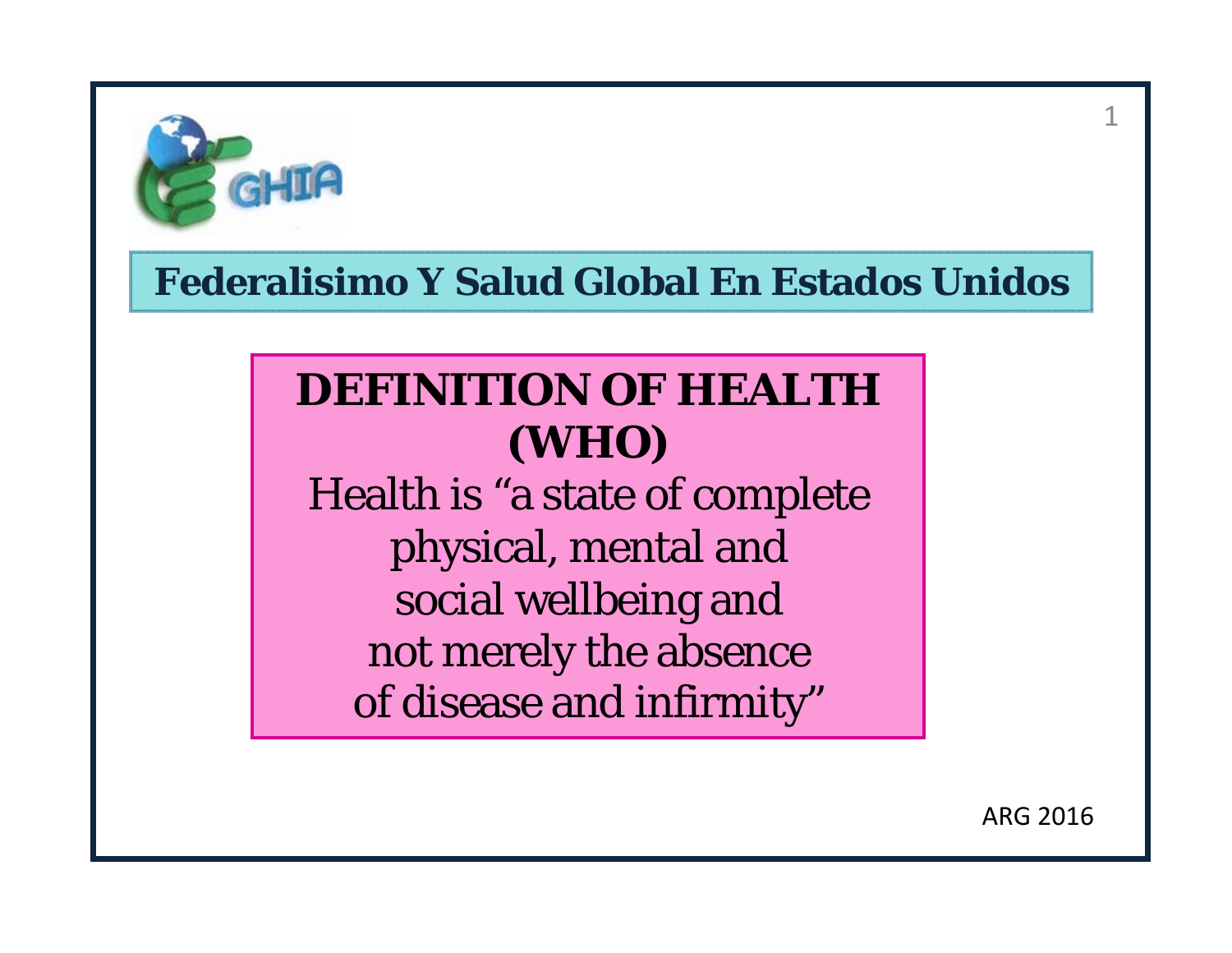

# **DEFINITION OF HEALTH (WHO)**  Health is "a state of complete physical, mental and social wellbeing and not merely the absence

of disease and infirmity"

ARG 2016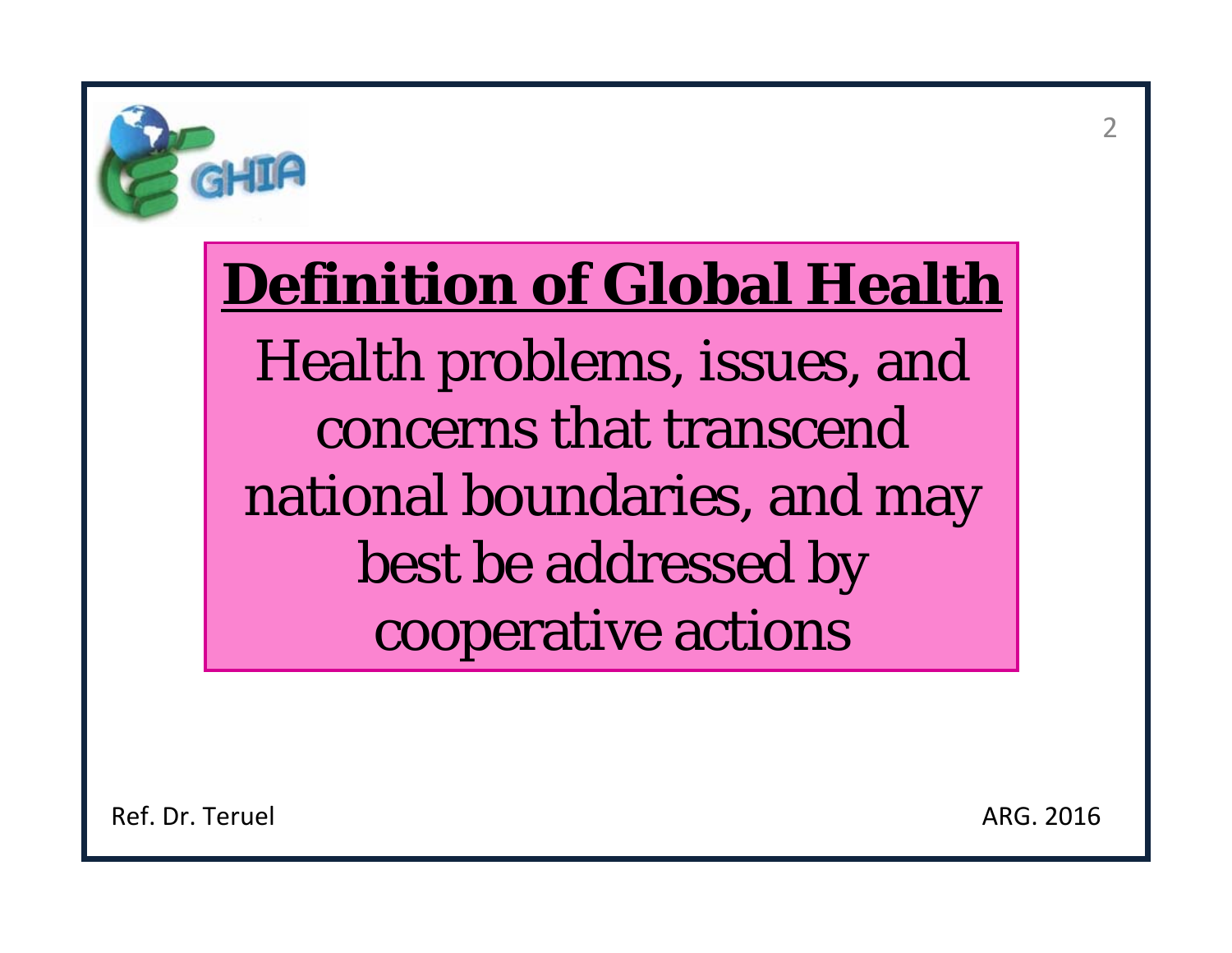

# **Definition of Global Health** Health problems, issues, and concerns that transcend national boundaries, and may best be addressed by cooperative actions

Ref. Dr. Teruel

ARG. 2016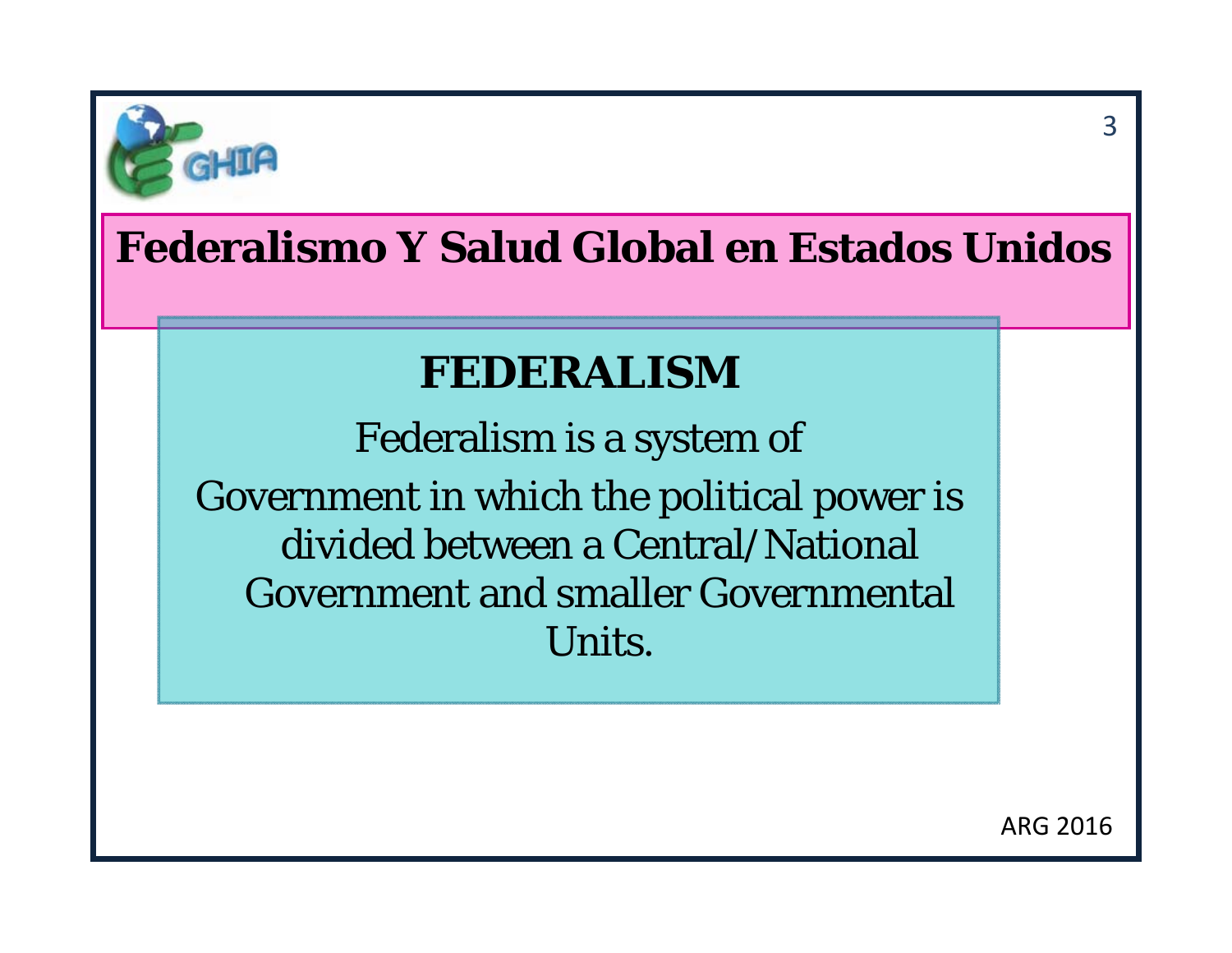

# **FEDERALISM**

Federalism is a system of Government in which the political power is divided between a Central/National Government and smaller Governmental Units.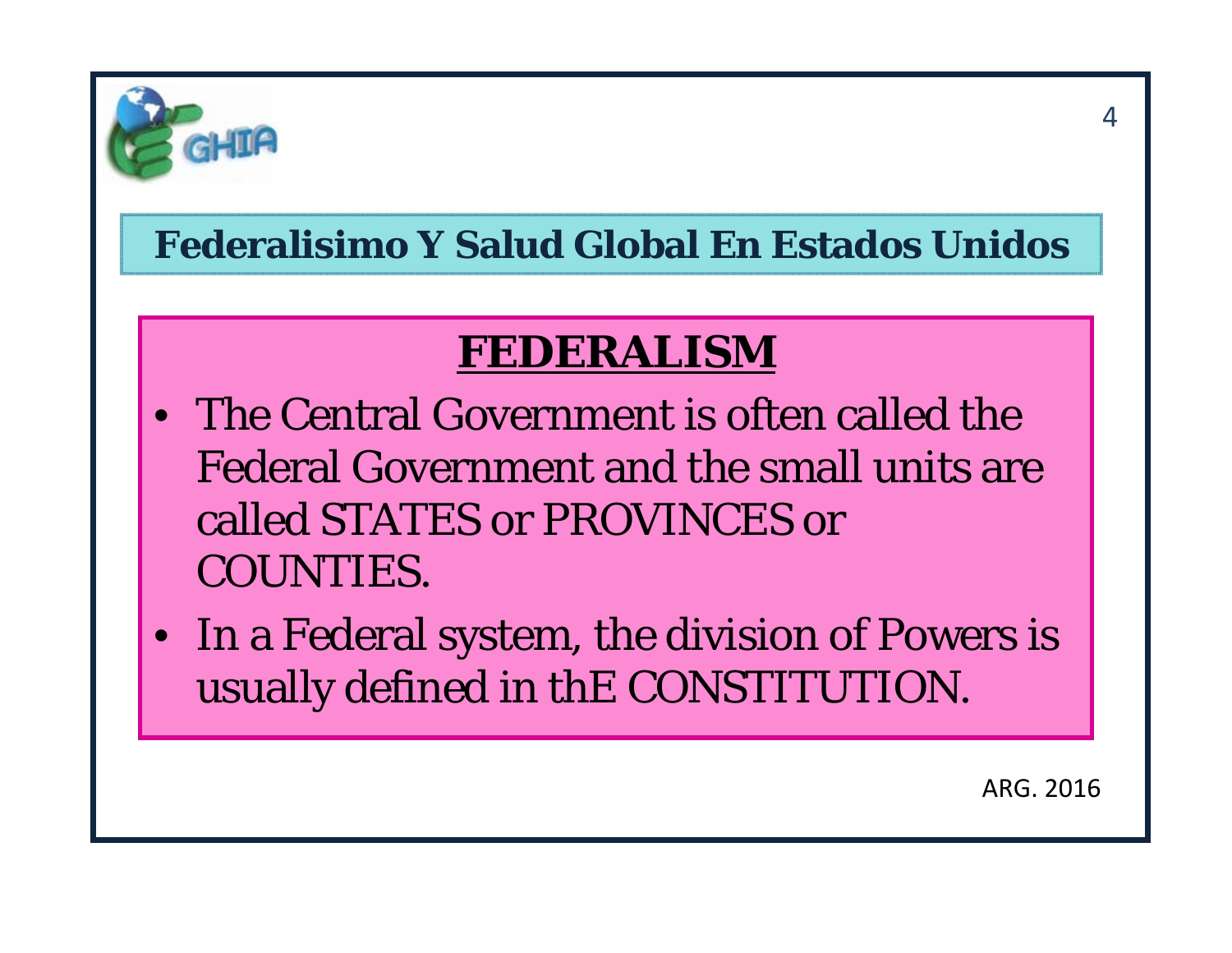

# **FEDERALISM**

- The Central Government is often called the Federal Government and the small units are called STATES or PROVINCES or COUNTIES.
- In a Federal system, the division of Powers is usually defined in thE CONSTITUTION.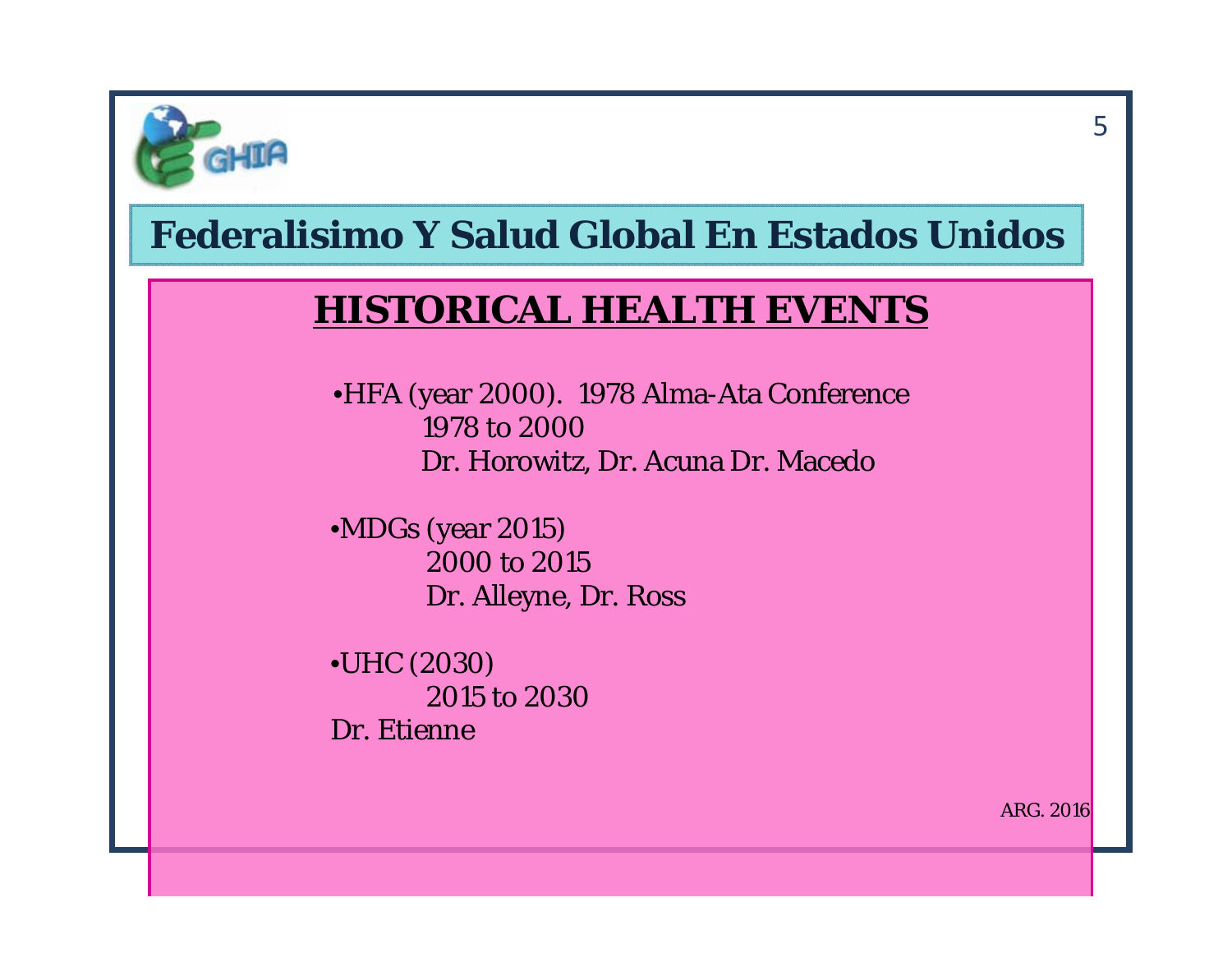

#### **HISTORICAL HEALTH EVENTS**

•HFA (year 2000). 1978 Alma-Ata Conference 1978 to 2000Dr. Horowitz, Dr. Acuna Dr. Macedo

•MDGs (year 2015) 2000 to 2015Dr. Alleyne, Dr. Ross

•UHC (2030) 2015 to 2030Dr. Etienne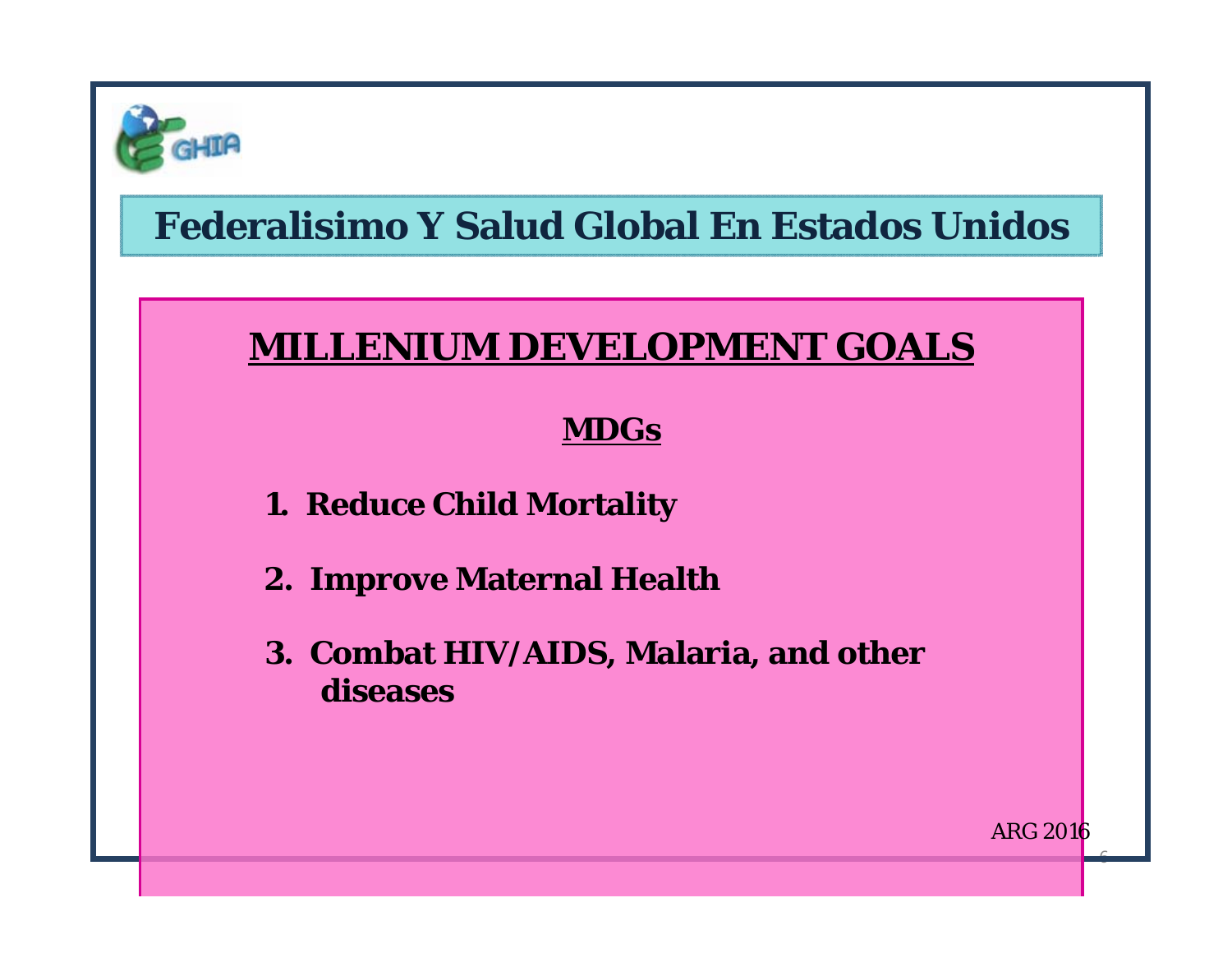

#### **MILLENIUM DEVELOPMENT GOALS**

#### **MDGs**

- **1. Reduce Child Mortality**
- **2. Improve Maternal Health**
- **3. Combat HIV/AIDS, Malaria, and other diseases**

ARG 2016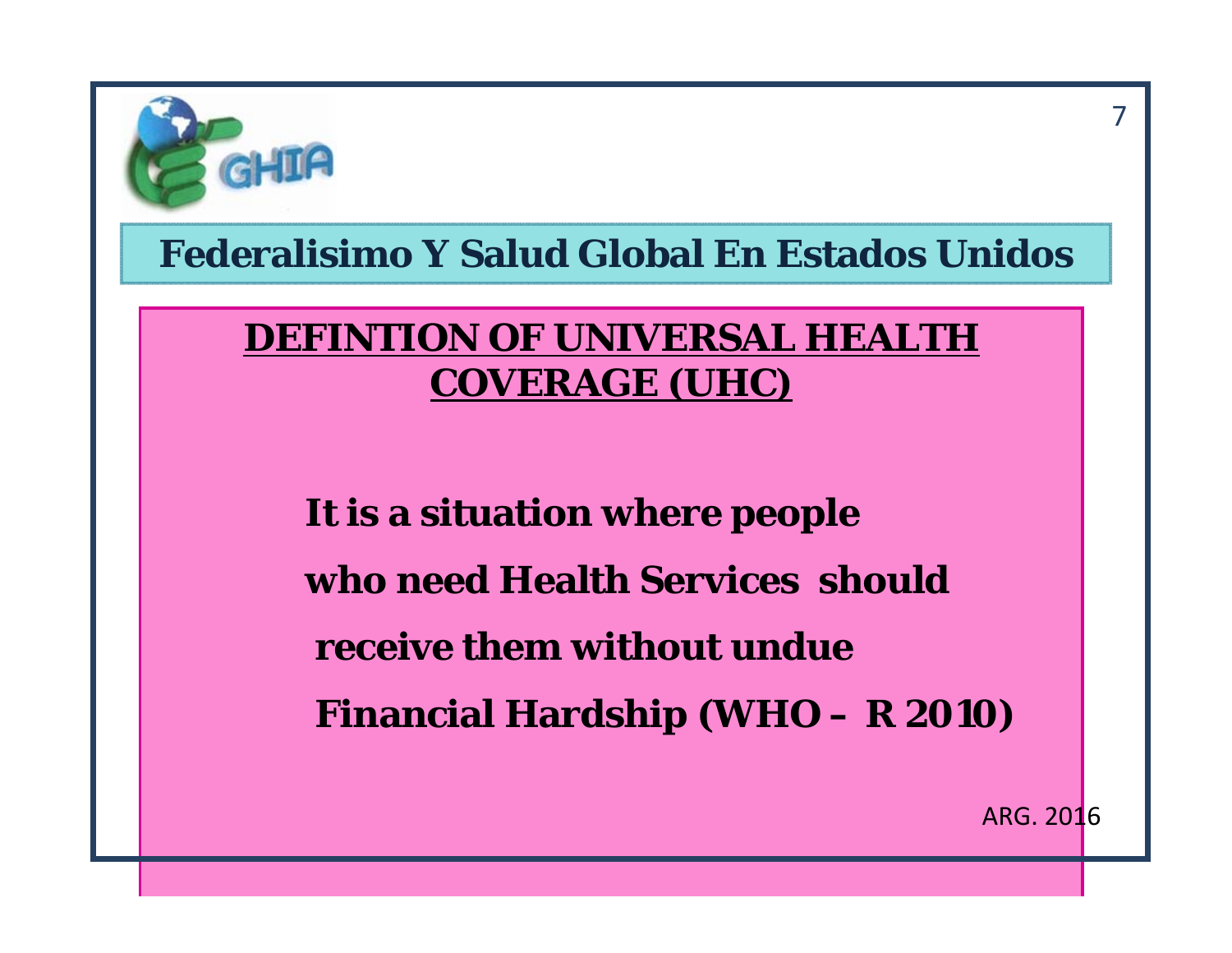

#### **DEFINTION OF UNIVERSAL HEALTH COVERAGE (UHC)**

**It is a situation where people who need Health Services shouldreceive them without undue Financial Hardship (WHO – R 2010)**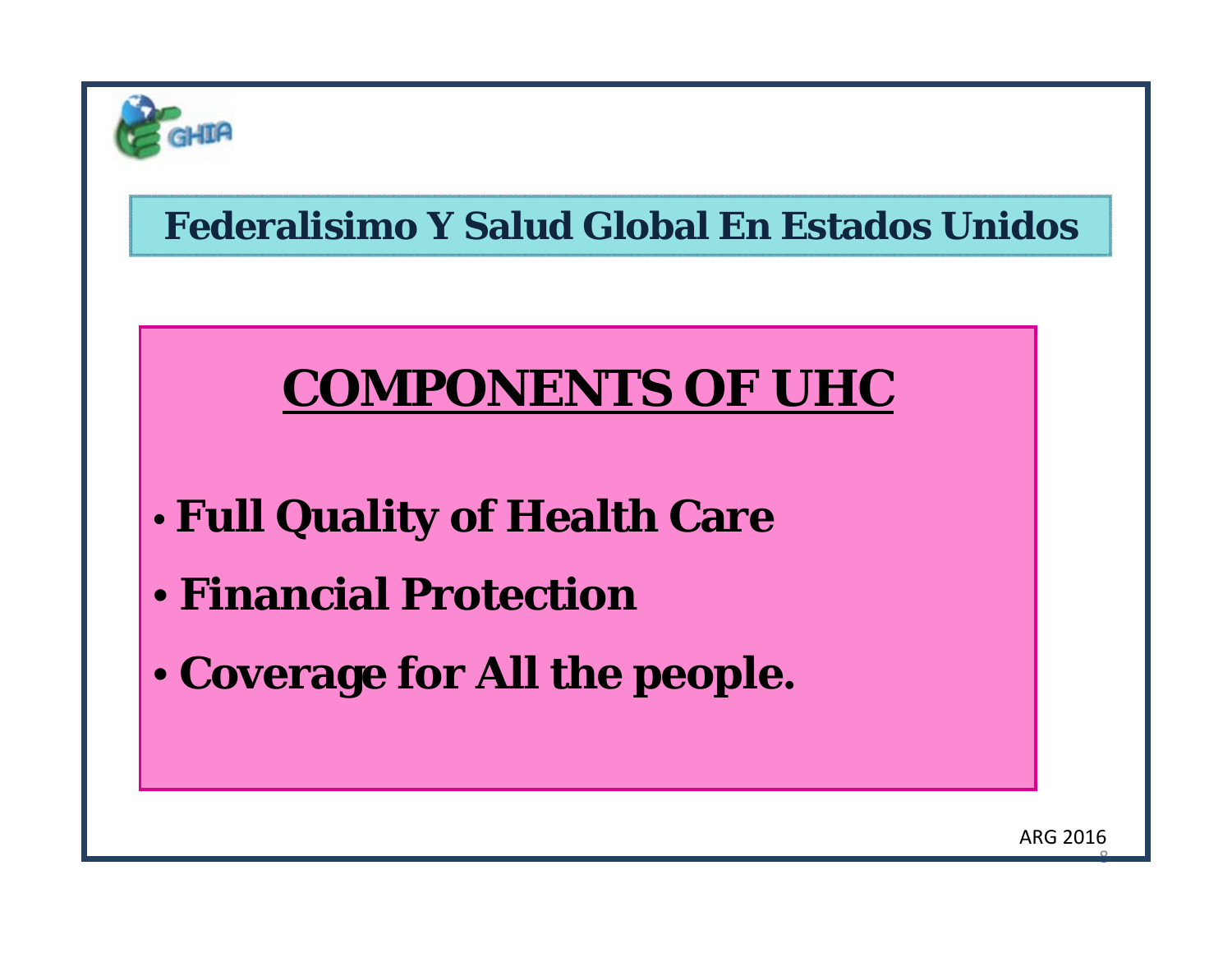

# **COMPONENTS OF UHC**

- •**Full Quality of Health Care**
- **Financial Protection**
- **Coverage for All the people.**

ARG 2016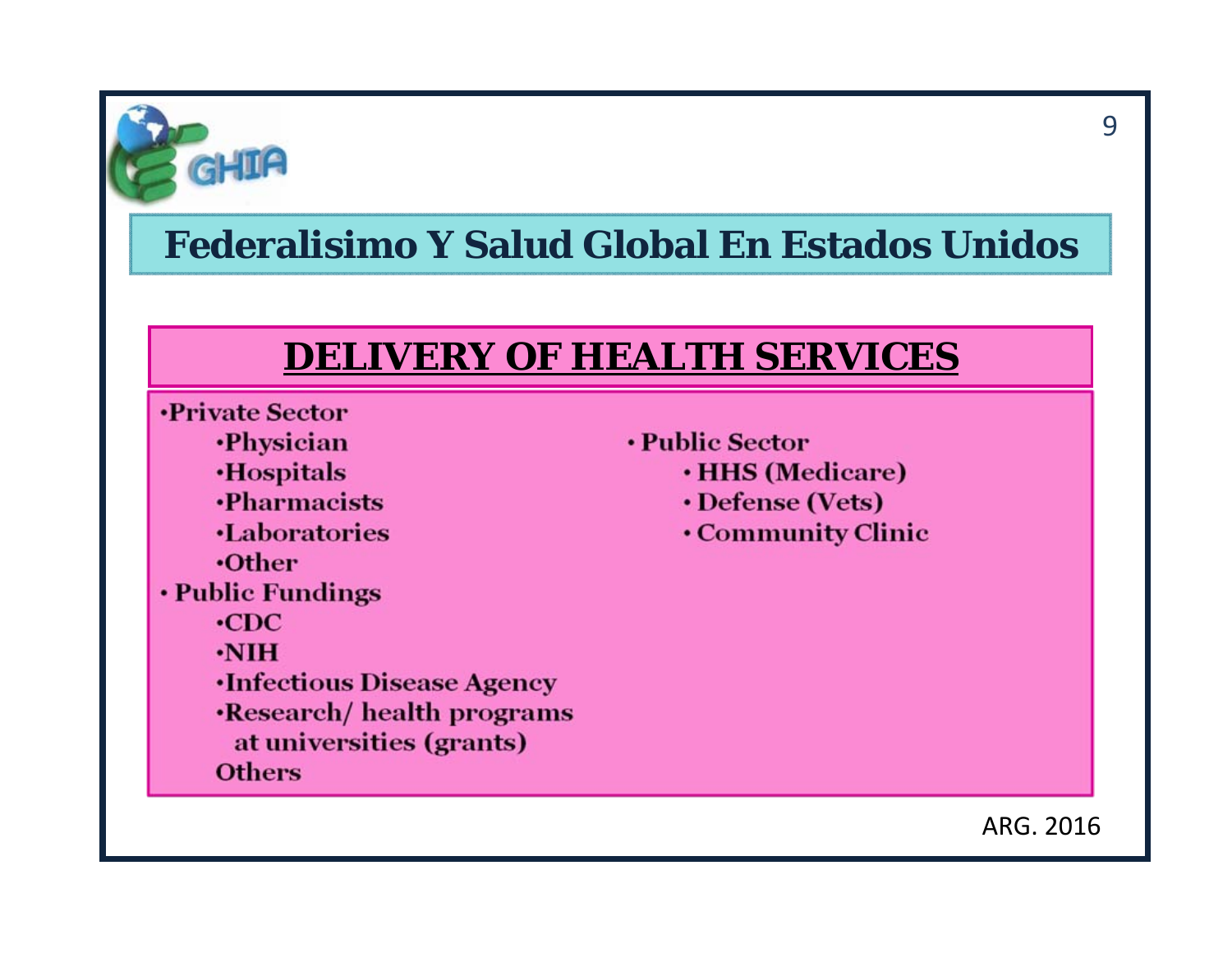

#### **DELIVERY OF HEALTH SERVICES**

- **•Private Sector** 
	- **·Physician**
	- **Hospitals**
	- **•Pharmacists**
	- **Laboratories**
	- $\cdot$ Other
- Public Fundings
	- $\cdot$ CDC
	- $\cdot$ NIH
	- **Infectious Disease Agency**
	- **·Research/ health programs**
	- at universities (grants)
	- **Others**
- Public Sector
	- **· HHS (Medicare)**
	- Defense (Vets)
	- Community Clinic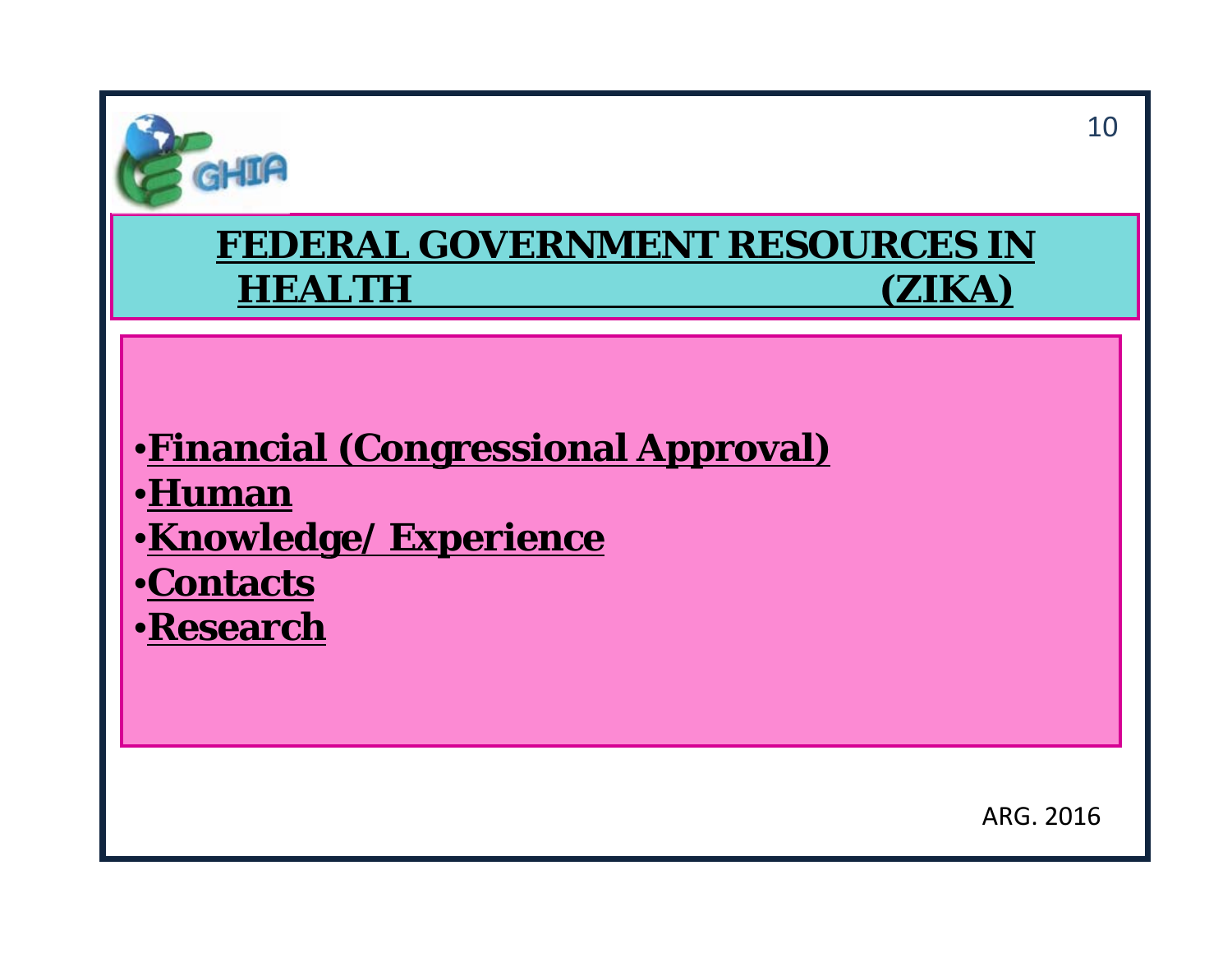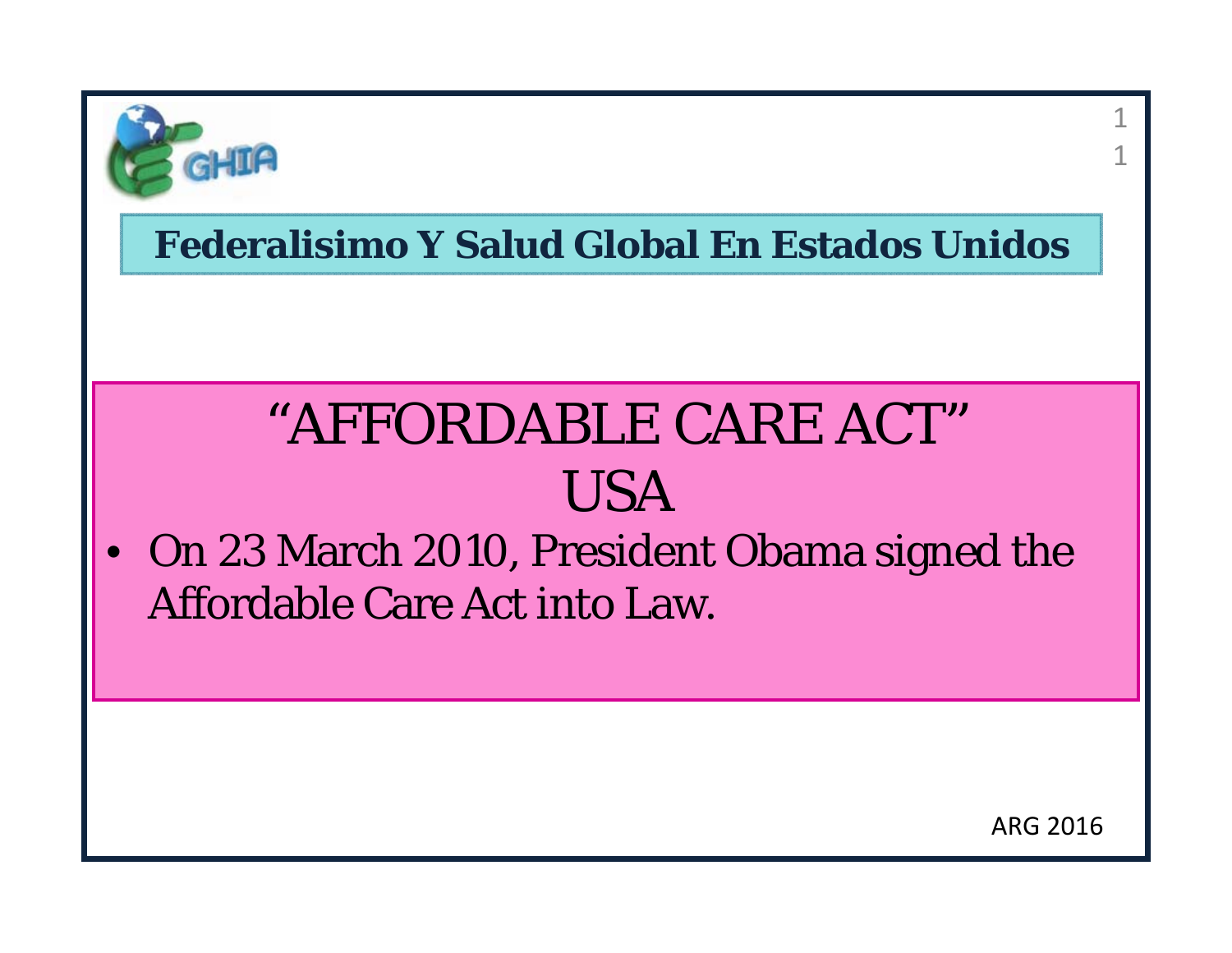

# "AFFORDABLE CARE ACT"USA

• On 23 March 2010, President Obama signed the Affordable Care Act into Law.

1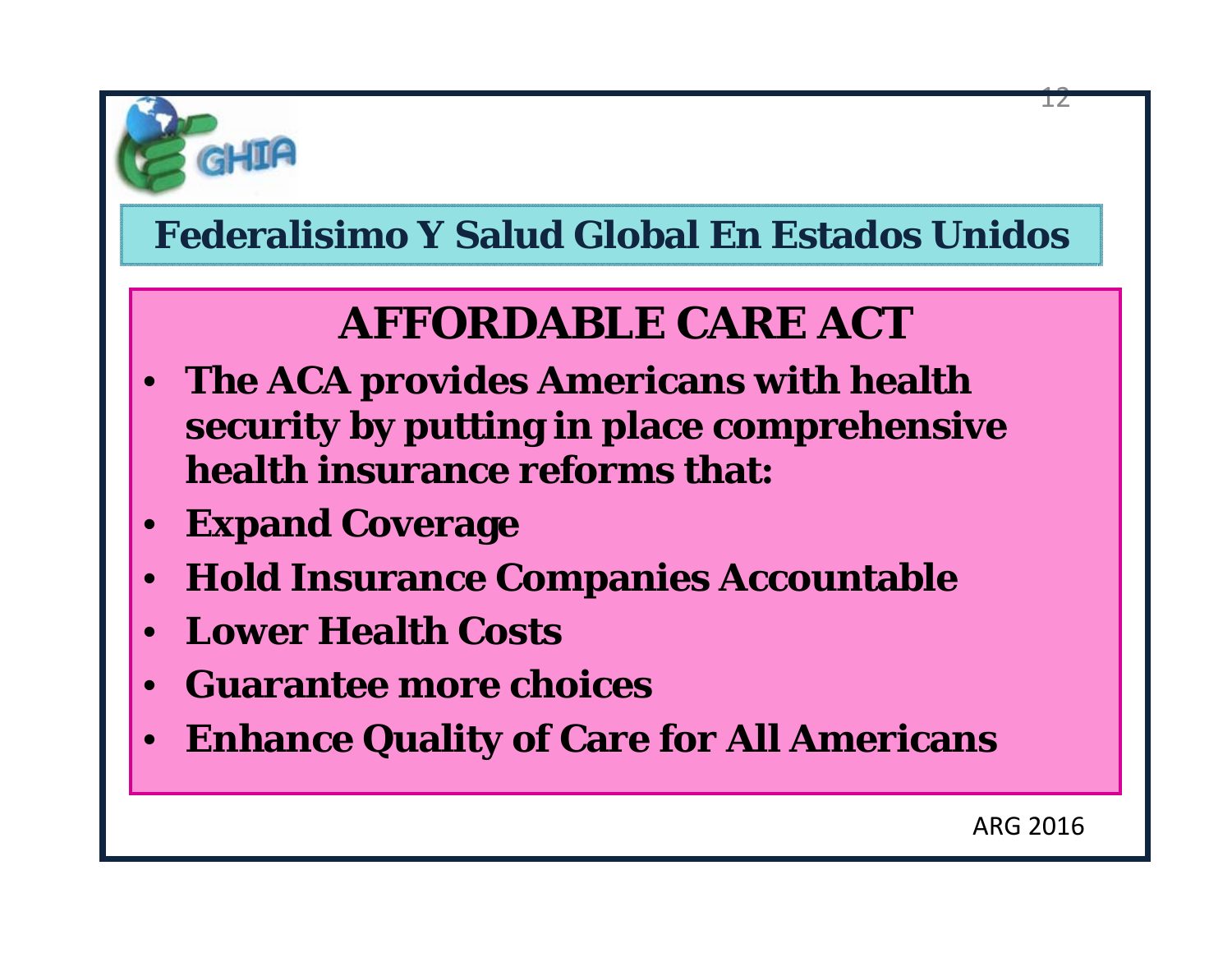

# **AFFORDABLE CARE ACT**

- **The ACA provides Americans with health security by putting in place comprehensive health insurance reforms that:**
- **Expand Coverage**
- **Hold Insurance Companies Accountable**
- **Lower Health Costs**
- **Guarantee more choices**
- **Enhance Quality of Care for All Americans**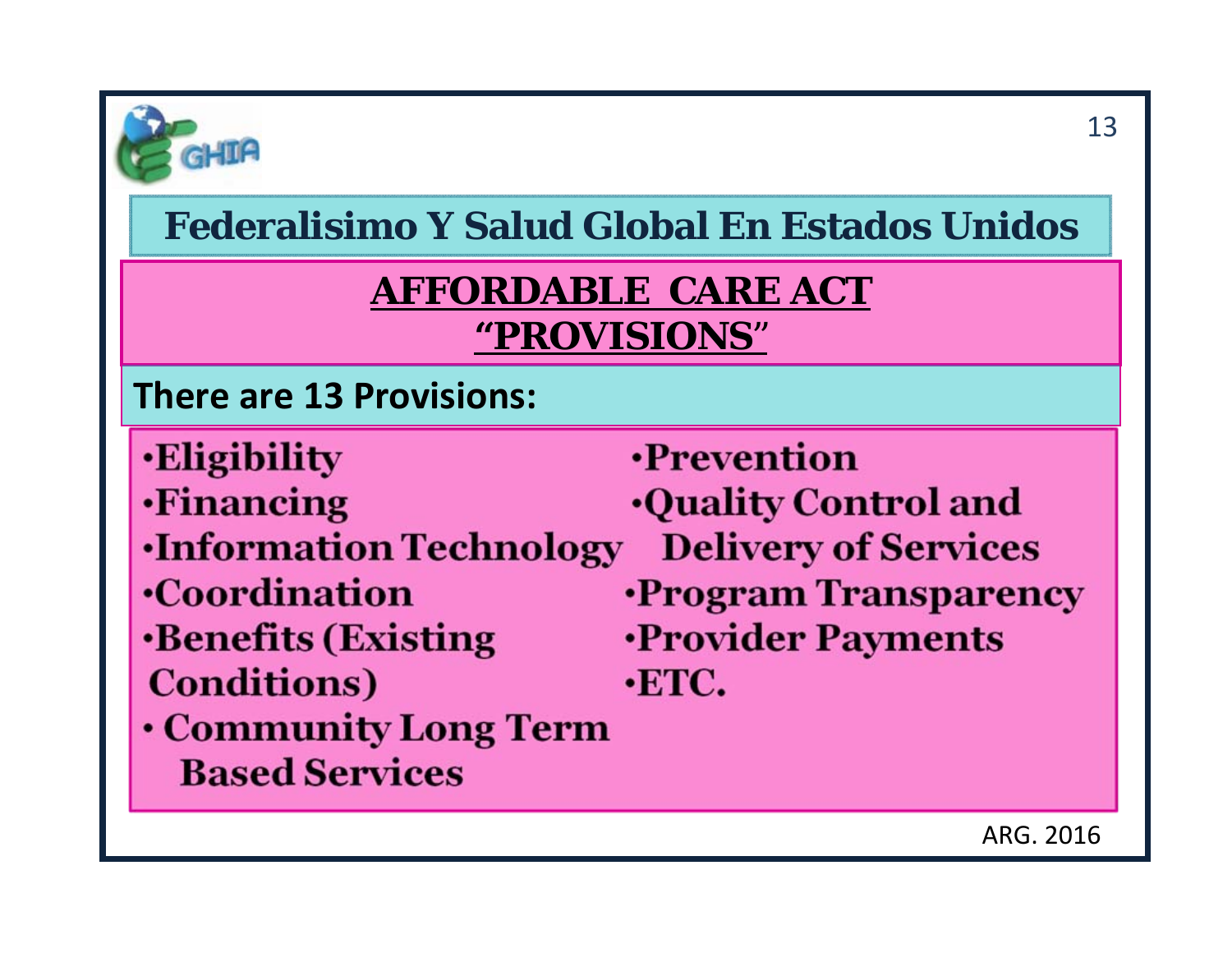

#### **AFFORDABLE CARE ACT "PROVISIONS** "

#### **There are 13 Provisions:**

- **Eligibility**
- **·Financing**
- **Information Technology**
- **•Coordination**
- **Benefits (Existing Conditions**)
- Community Long Term **Based Services**
- **•Prevention Ouality Control and Delivery of Services •Program Transparency ·Provider Payments**  $\cdot$ **ETC.**